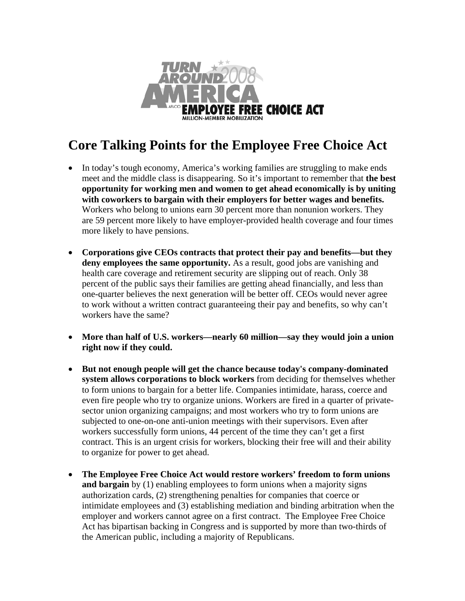

## **Core Talking Points for the Employee Free Choice Act**

- In today's tough economy, America's working families are struggling to make ends meet and the middle class is disappearing. So it's important to remember that **the best opportunity for working men and women to get ahead economically is by uniting with coworkers to bargain with their employers for better wages and benefits.**  Workers who belong to unions earn 30 percent more than nonunion workers. They are 59 percent more likely to have employer-provided health coverage and four times more likely to have pensions.
- **Corporations give CEOs contracts that protect their pay and benefits—but they**  deny employees the same opportunity. As a result, good jobs are vanishing and health care coverage and retirement security are slipping out of reach. Only 38 percent of the public says their families are getting ahead financially, and less than one-quarter believes the next generation will be better off. CEOs would never agree to work without a written contract guaranteeing their pay and benefits, so why can't workers have the same?
- **More than half of U.S. workers—nearly 60 million—say they would join a union right now if they could.**
- **But not enough people will get the chance because today's company-dominated system allows corporations to block workers** from deciding for themselves whether to form unions to bargain for a better life. Companies intimidate, harass, coerce and even fire people who try to organize unions. Workers are fired in a quarter of privatesector union organizing campaigns; and most workers who try to form unions are subjected to one-on-one anti-union meetings with their supervisors. Even after workers successfully form unions, 44 percent of the time they can't get a first contract. This is an urgent crisis for workers, blocking their free will and their ability to organize for power to get ahead.
- **The Employee Free Choice Act would restore workers' freedom to form unions and bargain** by (1) enabling employees to form unions when a majority signs authorization cards, (2) strengthening penalties for companies that coerce or intimidate employees and (3) establishing mediation and binding arbitration when the employer and workers cannot agree on a first contract. The Employee Free Choice Act has bipartisan backing in Congress and is supported by more than two-thirds of the American public, including a majority of Republicans.